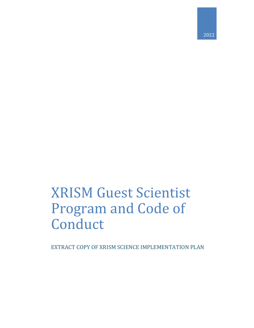

# XRISM Guest Scientist Program and Code of Conduct

EXTRACT COPY OF XRISM SCIENCE IMPLEMENTATION PLAN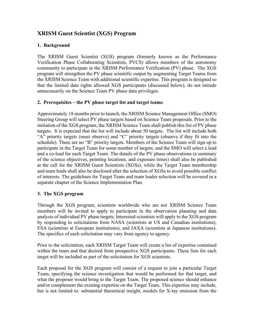## **XRISM Guest Scientist (XGS) Program**

#### **1. Background**

The XRISM Guest Scientist (XGS) program (formerly known as the Performance Verification Phase Collaborating Scientists, PVCS) allows members of the astronomy community to participate in the XRISM Performance Verification (PV) phase. The XGS program will strengthen the PV phase scientific output by augmenting Target Teams from the XRISM Science Team with additional scientific expertise. This program is designed so that the limited data rights allowed XGS participants (discussed below), do not intrude unnecessarily on the Science Team PV phase data privileges.

#### **2. Prerequisites – the PV phase target list and target teams**

Approximately 18 months prior to launch, the XRISM Science Management Office (SMO) Steering Group will select PV phase targets based on Science Team proposals. Prior to the initiation of the XGS program, the XRISM Science Team shall publish this list of PV phase targets. It is expected that the list will include about 50 targets. The list will include both "A" priority targets (must observe) and "C" priority targets (observe if they fit into the schedule). There are no "B" priority targets. Members of the Science Team will sign up to participate in the Target Team for some number of targets, and the SMO will select a lead and a co-lead for each Target Team. The details of the PV phase observations (a summary of the science objectives, pointing locations, and exposure times) shall also be published at the call for the XRISM Guest Scientists (XGSs), while the Target Team membership and team leads shall also be disclosed after the selection of XGSs to avoid possible conflict of interests. The guidelines for Target Team and team leader selection will be covered in a separate chapter of the Science Implementation Plan.

#### **3. The XGS program**

Through the XGS program, scientists worldwide who are not XRISM Science Team members will be invited to apply to participate in the observation planning and data analysis of individual PV phase targets. Interested scientists will apply to the XGS program by responding to solicitations from NASA (scientists at US and Canadian institutions), ESA (scientists at European institutions), and JAXA (scientists at Japanese institutions). The specifics of each solicitation may vary from agency to agency.

Prior to the solicitation, each XRISM Target Team will create a list of expertise contained within the team and that desired from prospective XGS participants. These lists for each target will be included as part of the solicitation for XGS scientists.

Each proposal for the XGS program will consist of a request to join a particular Target Team, specifying the science investigation that would be performed for that target, and what the proposer would bring to the Target Team. The proposed science should enhance and/or complement the existing expertise on the Target Team. This expertise may include, but is not limited to: substantial theoretical insight, models for X-ray emission from the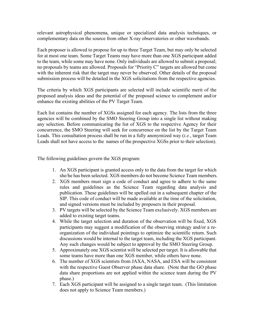relevant astrophysical phenomena, unique or specialized data analysis techniques, or complementary data on the source from other X-ray observatories or other wavebands.

Each proposer is allowed to propose for up to three Target Team, but may only be selected for at most one team. Some Target Teams may have more than one XGS participant added to the team, while some may have none. Only individuals are allowed to submit a proposal; no proposals by teams are allowed. Proposals for "Priority C" targets are allowed but come with the inherent risk that the target may never be observed. Other details of the proposal submission process will be detailed in the XGS solicitations from the respective agencies.

The criteria by which XGS participants are selected will include scientific merit of the proposed analysis ideas and the potential of the proposed science to complement and/or enhance the existing abilities of the PV Target Team.

Each list contains the number of XGSs assigned for each agency. The lists from the three agencies will be combined by the SMO Steering Group into a single list without making any selection. Before communicating the list of XGS to the respective Agency for their concurrence, the SMO Steering will seek for concurrence on the list by the Target Team Leads. This consultation process shall be run in a fully anonymized way (*i.e.*, target Team Leads shall not have access to the names of the prospective XGSs prior to their selection).

The following guidelines govern the XGS program:

- 1. An XGS participant is granted access only to the data from the target for which she/he has been selected. XGS members do not become Science Team members.
- 2. XGS members must sign a code of conduct and agree to adhere to the same rules and guidelines as the Science Team regarding data analysis and publication. These guidelines will be spelled out in a subsequent chapter of the SIP. This code of conduct will be made available at the time of the solicitation, and signed versions must be included by proposers in their proposal.
- 3. PV targets will be selected by the Science Team exclusively. XGS members are added to existing target teams.
- 4. While the target selection and duration of the observation will be fixed, XGS participants may suggest a modification of the observing strategy and/or a reorganization of the individual pointings to optimize the scientific return. Such discussions would be internal to the target team, including the XGS participant. Any such changes would be subject to approval by the SMO Steering Group.
- 5. Approximately one XGS scientist will be selected per target. It is allowable that some teams have more than one XGS member, while others have none.
- 6. The number of XGS scientists from JAXA, NASA, and ESA will be consistent with the respective Guest Observer phase data share. (Note that the GO phase data share proportions are not applied within the science team during the PV phase.)
- 7. Each XGS participant will be assigned to a single target team. (This limitation does not apply to Science Team members.)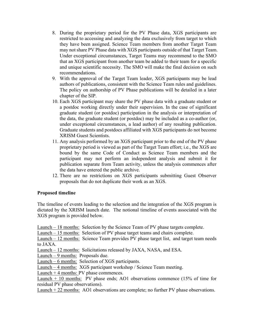- 8. During the proprietary period for the PV Phase data, XGS participants are restricted to accessing and analyzing the data exclusively from target to which they have been assigned. Science Team members from another Target Team may not share PV Phase data with XGS participants outside of that Target Team. Under exceptional circumstances, Target Teams may recommend to the SMO that an XGS participant from another team be added to their team for a specific and unique scientific necessity. The SMO will make the final decision on such recommendations.
- 9. With the approval of the Target Team leader, XGS participants may be lead authors of publications, consistent with the Science Team rules and guidelines. The policy on authorship of PV Phase publications will be detailed in a later chapter of the SIP.
- 10. Each XGS participant may share the PV phase data with a graduate student or a postdoc working directly under their supervision. In the case of significant graduate student (or postdoc) participation in the analysis or interpretation of the data, the graduate student (or postdoc) may be included as a co-author (or, under exceptional circumstances, a lead author) of any resulting publication. Graduate students and postdocs affiliated with XGS participants do not become XRISM Guest Scientists.
- 11. Any analysis performed by an XGS participant prior to the end of the PV phase proprietary period is viewed as part of the Target Team effort; i.e., the XGS are bound by the same Code of Conduct as Science Team members and the participant may not perform an independent analysis and submit it for publication separate from Team activity, unless the analysis commences after the data have entered the public archive.
- 12. There are no restrictions on XGS participants submitting Guest Observer proposals that do not duplicate their work as an XGS.

#### **Proposed timeline**

The timeline of events leading to the selection and the integration of the XGS program is dictated by the XRISM launch date. The notional timeline of events associated with the XGS program is provided below.

Launch – 18 months: Selection by the Science Team of PV phase targets complete.

Launch – 15 months: Selection of PV phase target teams and chairs complete.

Launch – 12 months: Science Team provides PV phase target list, and target team needs to JAXA.

Launch – 12 months: Solicitations released by JAXA, NASA, and ESA.

Launch – 9 months: Proposals due.

Launch – 6 months: Selection of XGS participants.

Launch – 4 months: XGS participant workshop / Science Team meeting.

Launch  $+$  4 months: PV phase commences.

Launch  $+$  10 months: PV phase ends; AO1 observations commence (15% of time for residual PV phase observations).

Launch + 22 months: AO1 observations are complete; no further PV phase observations.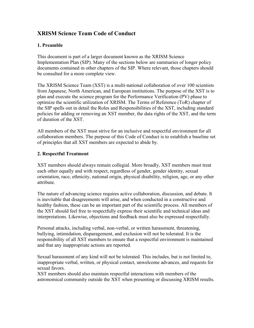# **XRISM Science Team Code of Conduct**

#### **1. Preamble**

This document is part of a larger document known as the XRISM Science Implementation Plan (SIP). Many of the sections below are summaries of longer policy documents contained in other chapters of the SIP. Where relevant, those chapters should be consulted for a more complete view.

The XRISM Science Team (XST) is a multi-national collaboration of over 100 scientists from Japanese, North American, and European institutions. The purpose of the XST is to plan and execute the science program for the Performance Verification (PV) phase to optimize the scientific utilization of XRISM. The Terms of Reference (ToR) chapter of the SIP spells out in detail the Roles and Responsibilities of the XST, including standard policies for adding or removing an XST member, the data rights of the XST, and the term of duration of the XST.

All members of the XST must strive for an inclusive and respectful environment for all collaboration members. The purpose of this Code of Conduct is to establish a baseline set of principles that all XST members are expected to abide by.

#### **2. Respectful Treatment**

XST members should always remain collegial. More broadly, XST members must treat each other equally and with respect, regardless of gender, gender identity, sexual orientation, race, ethnicity, national origin, physical disability, religion, age, or any other attribute.

The nature of advancing science requires active collaboration, discussion, and debate. It is inevitable that disagreements will arise, and when conducted in a constructive and healthy fashion, these can be an important part of the scientific process. All members of the XST should feel free to respectfully express their scientific and technical ideas and interpretations. Likewise, objections and feedback must also be expressed respectfully.

Personal attacks, including verbal, non-verbal, or written harassment, threatening, bullying, intimidation, disparagement, and exclusion will not be tolerated. It is the responsibility of all XST members to ensure that a respectful environment is maintained and that any inappropriate actions are reported.

Sexual harassment of any kind will not be tolerated. This includes, but is not limited to, inappropriate verbal, written, or physical contact, unwelcome advances, and requests for sexual favors.

XST members should also maintain respectful interactions with members of the astronomical community outside the XST when presenting or discussing XRISM results.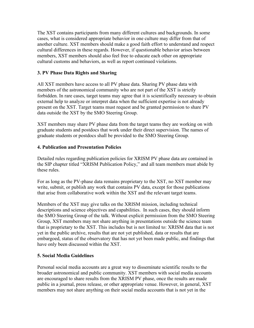The XST contains participants from many different cultures and backgrounds. In some cases, what is considered appropriate behavior in one culture may differ from that of another culture. XST members should make a good faith effort to understand and respect cultural differences in these regards. However, if questionable behavior arises between members, XST members should also feel free to educate each other on appropriate cultural customs and behaviors, as well as report continued violations.

#### **3. PV Phase Data Rights and Sharing**

All XST members have access to all PV phase data. Sharing PV phase data with members of the astronomical community who are not part of the XST is strictly forbidden. In rare cases, target teams may agree that it is scientifically necessary to obtain external help to analyze or interpret data when the sufficient expertise is not already present on the XST. Target teams must request and be granted permission to share PV data outside the XST by the SMO Steering Group.

XST members may share PV phase data from the target teams they are working on with graduate students and postdocs that work under their direct supervision. The names of graduate students or postdocs shall be provided to the SMO Steering Group.

#### **4. Publication and Presentation Policies**

Detailed rules regarding publication policies for XRISM PV phase data are contained in the SIP chapter titled "XRISM Publication Policy," and all team members must abide by these rules.

For as long as the PV-phase data remains proprietary to the XST, no XST member may write, submit, or publish any work that contains PV data, except for those publications that arise from collaborative work within the XST and the relevant target teams.

Members of the XST may give talks on the XRISM mission, including technical descriptions and science objectives and capabilities. In such cases, they should inform the SMO Steering Group of the talk. Without explicit permission from the SMO Steering Group, XST members may not share anything in presentations outside the science team that is proprietary to the XST. This includes but is not limited to: XRISM data that is not yet in the public archive, results that are not yet published, data or results that are embargoed, status of the observatory that has not yet been made public, and findings that have only been discussed within the XST.

#### **5. Social Media Guidelines**

Personal social media accounts are a great way to disseminate scientific results to the broader astronomical and public community. XST members with social media accounts are encouraged to share results from the XRISM PV phase, once the results are made public in a journal, press release, or other appropriate venue. However, in general, XST members may not share anything on their social media accounts that is not yet in the